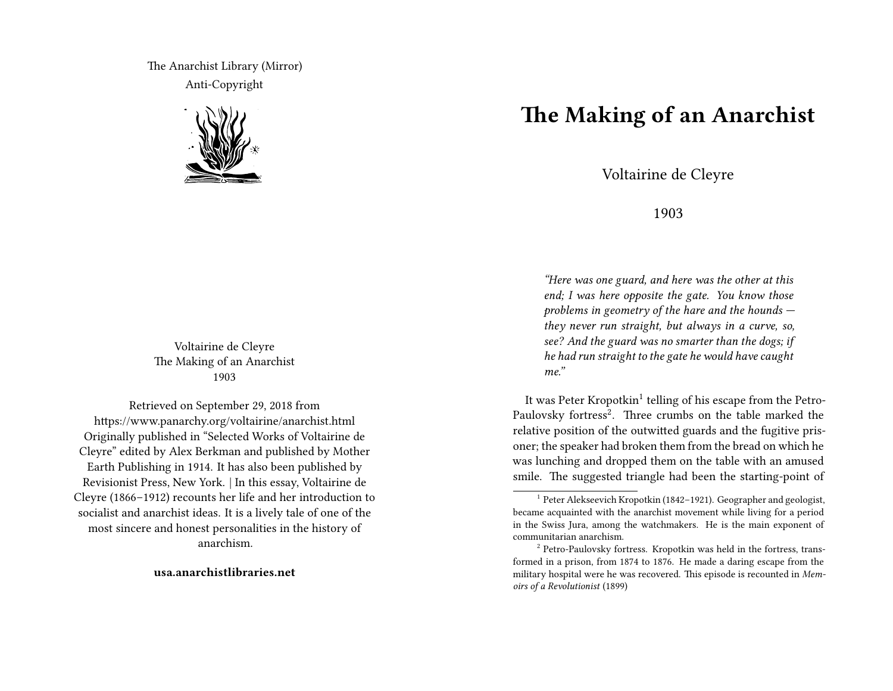The Anarchist Library (Mirror) Anti-Copyright



Voltairine de Cleyre The Making of an Anarchist 1903

Retrieved on September 29, 2018 from https://www.panarchy.org/voltairine/anarchist.html Originally published in "Selected Works of Voltairine de Cleyre" edited by Alex Berkman and published by Mother Earth Publishing in 1914. It has also been published by Revisionist Press, New York. | In this essay, Voltairine de Cleyre (1866–1912) recounts her life and her introduction to socialist and anarchist ideas. It is a lively tale of one of the most sincere and honest personalities in the history of anarchism.

**usa.anarchistlibraries.net**

## **The Making of an Anarchist**

Voltairine de Cleyre

1903

*"Here was one guard, and here was the other at this end; I was here opposite the gate. You know those problems in geometry of the hare and the hounds they never run straight, but always in a curve, so, see? And the guard was no smarter than the dogs; if he had run straight to the gate he would have caught me."*

It was Peter Kropotkin<sup>1</sup> telling of his escape from the Petro-Paulovsky fortress<sup>2</sup>. Three crumbs on the table marked the relative position of the outwitted guards and the fugitive prisoner; the speaker had broken them from the bread on which he was lunching and dropped them on the table with an amused smile. The suggested triangle had been the starting-point of

<sup>&</sup>lt;sup>1</sup> Peter Alekseevich Kropotkin (1842-1921). Geographer and geologist, became acquainted with the anarchist movement while living for a period in the Swiss Jura, among the watchmakers. He is the main exponent of communitarian anarchism.

<sup>&</sup>lt;sup>2</sup> Petro-Paulovsky fortress. Kropotkin was held in the fortress, transformed in a prison, from 1874 to 1876. He made a daring escape from the military hospital were he was recovered. This episode is recounted in *Memoirs of a Revolutionist* (1899)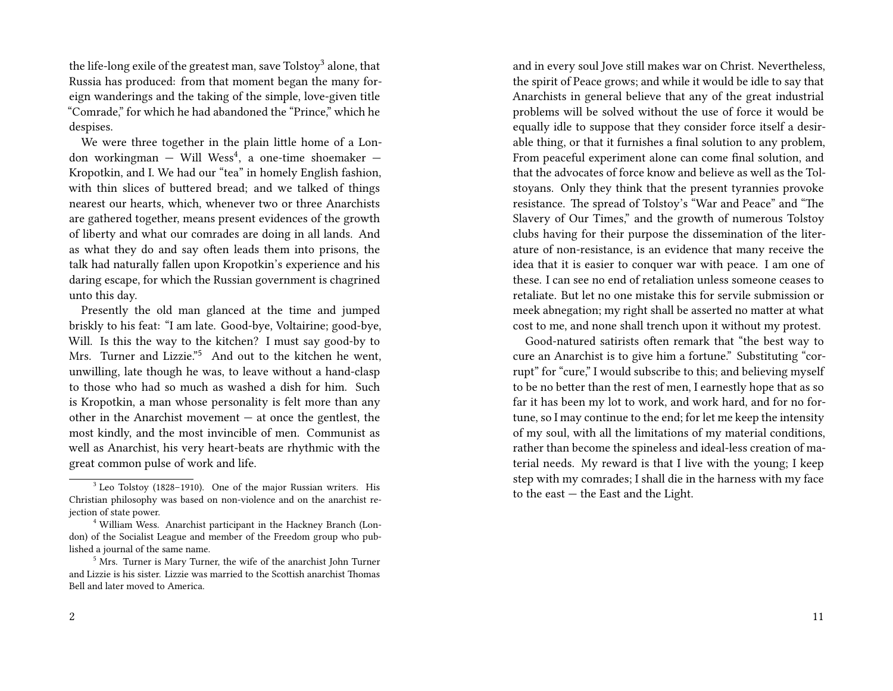the life-long exile of the greatest man, save Tolstoy<sup>3</sup> alone, that Russia has produced: from that moment began the many foreign wanderings and the taking of the simple, love-given title "Comrade," for which he had abandoned the "Prince," which he despises.

We were three together in the plain little home of a London workingman — Will Wess<sup>4</sup>, a one-time shoemaker — Kropotkin, and I. We had our "tea" in homely English fashion, with thin slices of buttered bread; and we talked of things nearest our hearts, which, whenever two or three Anarchists are gathered together, means present evidences of the growth of liberty and what our comrades are doing in all lands. And as what they do and say often leads them into prisons, the talk had naturally fallen upon Kropotkin's experience and his daring escape, for which the Russian government is chagrined unto this day.

Presently the old man glanced at the time and jumped briskly to his feat: "I am late. Good-bye, Voltairine; good-bye, Will. Is this the way to the kitchen? I must say good-by to Mrs. Turner and Lizzie."<sup>5</sup> And out to the kitchen he went, unwilling, late though he was, to leave without a hand-clasp to those who had so much as washed a dish for him. Such is Kropotkin, a man whose personality is felt more than any other in the Anarchist movement — at once the gentlest, the most kindly, and the most invincible of men. Communist as well as Anarchist, his very heart-beats are rhythmic with the great common pulse of work and life.

and in every soul Jove still makes war on Christ. Nevertheless, the spirit of Peace grows; and while it would be idle to say that Anarchists in general believe that any of the great industrial problems will be solved without the use of force it would be equally idle to suppose that they consider force itself a desirable thing, or that it furnishes a final solution to any problem, From peaceful experiment alone can come final solution, and that the advocates of force know and believe as well as the Tolstoyans. Only they think that the present tyrannies provoke resistance. The spread of Tolstoy's "War and Peace" and "The Slavery of Our Times," and the growth of numerous Tolstoy clubs having for their purpose the dissemination of the literature of non-resistance, is an evidence that many receive the idea that it is easier to conquer war with peace. I am one of these. I can see no end of retaliation unless someone ceases to retaliate. But let no one mistake this for servile submission or meek abnegation; my right shall be asserted no matter at what cost to me, and none shall trench upon it without my protest.

Good-natured satirists often remark that "the best way to cure an Anarchist is to give him a fortune." Substituting "corrupt" for "cure," I would subscribe to this; and believing myself to be no better than the rest of men, I earnestly hope that as so far it has been my lot to work, and work hard, and for no fortune, so I may continue to the end; for let me keep the intensity of my soul, with all the limitations of my material conditions, rather than become the spineless and ideal-less creation of material needs. My reward is that I live with the young; I keep step with my comrades; I shall die in the harness with my face to the east — the East and the Light.

<sup>&</sup>lt;sup>3</sup> Leo Tolstoy (1828-1910). One of the major Russian writers. His Christian philosophy was based on non-violence and on the anarchist rejection of state power.

<sup>&</sup>lt;sup>4</sup> William Wess. Anarchist participant in the Hackney Branch (London) of the Socialist League and member of the Freedom group who published a journal of the same name.

<sup>5</sup> Mrs. Turner is Mary Turner, the wife of the anarchist John Turner and Lizzie is his sister. Lizzie was married to the Scottish anarchist Thomas Bell and later moved to America.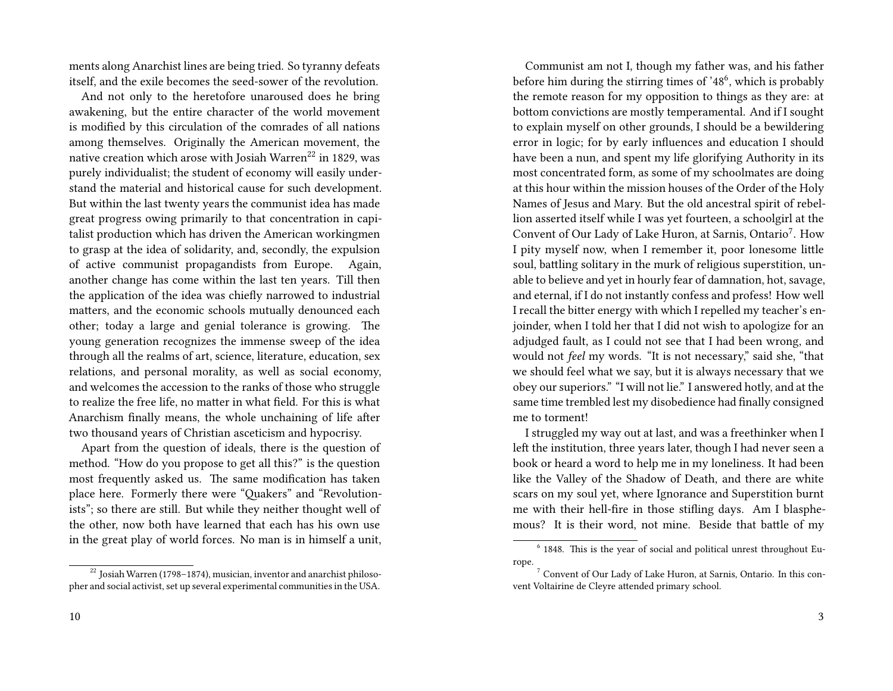ments along Anarchist lines are being tried. So tyranny defeats itself, and the exile becomes the seed-sower of the revolution.

And not only to the heretofore unaroused does he bring awakening, but the entire character of the world movement is modified by this circulation of the comrades of all nations among themselves. Originally the American movement, the native creation which arose with Josiah Warren<sup>22</sup> in 1829, was purely individualist; the student of economy will easily understand the material and historical cause for such development. But within the last twenty years the communist idea has made great progress owing primarily to that concentration in capitalist production which has driven the American workingmen to grasp at the idea of solidarity, and, secondly, the expulsion of active communist propagandists from Europe. Again, another change has come within the last ten years. Till then the application of the idea was chiefly narrowed to industrial matters, and the economic schools mutually denounced each other; today a large and genial tolerance is growing. The young generation recognizes the immense sweep of the idea through all the realms of art, science, literature, education, sex relations, and personal morality, as well as social economy, and welcomes the accession to the ranks of those who struggle to realize the free life, no matter in what field. For this is what Anarchism finally means, the whole unchaining of life after two thousand years of Christian asceticism and hypocrisy.

Apart from the question of ideals, there is the question of method. "How do you propose to get all this?" is the question most frequently asked us. The same modification has taken place here. Formerly there were "Quakers" and "Revolutionists"; so there are still. But while they neither thought well of the other, now both have learned that each has his own use in the great play of world forces. No man is in himself a unit,

Communist am not I, though my father was, and his father before him during the stirring times of '48<sup>6</sup>, which is probably the remote reason for my opposition to things as they are: at bottom convictions are mostly temperamental. And if I sought to explain myself on other grounds, I should be a bewildering error in logic; for by early influences and education I should have been a nun, and spent my life glorifying Authority in its most concentrated form, as some of my schoolmates are doing at this hour within the mission houses of the Order of the Holy Names of Jesus and Mary. But the old ancestral spirit of rebellion asserted itself while I was yet fourteen, a schoolgirl at the Convent of Our Lady of Lake Huron, at Sarnis, Ontario<sup>7</sup>. How I pity myself now, when I remember it, poor lonesome little soul, battling solitary in the murk of religious superstition, unable to believe and yet in hourly fear of damnation, hot, savage, and eternal, if I do not instantly confess and profess! How well I recall the bitter energy with which I repelled my teacher's enjoinder, when I told her that I did not wish to apologize for an adjudged fault, as I could not see that I had been wrong, and would not *feel* my words. "It is not necessary," said she, "that we should feel what we say, but it is always necessary that we obey our superiors." "I will not lie." I answered hotly, and at the same time trembled lest my disobedience had finally consigned me to torment!

I struggled my way out at last, and was a freethinker when I left the institution, three years later, though I had never seen a book or heard a word to help me in my loneliness. It had been like the Valley of the Shadow of Death, and there are white scars on my soul yet, where Ignorance and Superstition burnt me with their hell-fire in those stifling days. Am I blasphemous? It is their word, not mine. Beside that battle of my

 $22$  Josiah Warren (1798–1874), musician, inventor and anarchist philosopher and social activist, set up several experimental communities in the USA.

<sup>&</sup>lt;sup>6</sup> 1848. This is the year of social and political unrest throughout Europe.

<sup>7</sup> Convent of Our Lady of Lake Huron, at Sarnis, Ontario. In this convent Voltairine de Cleyre attended primary school.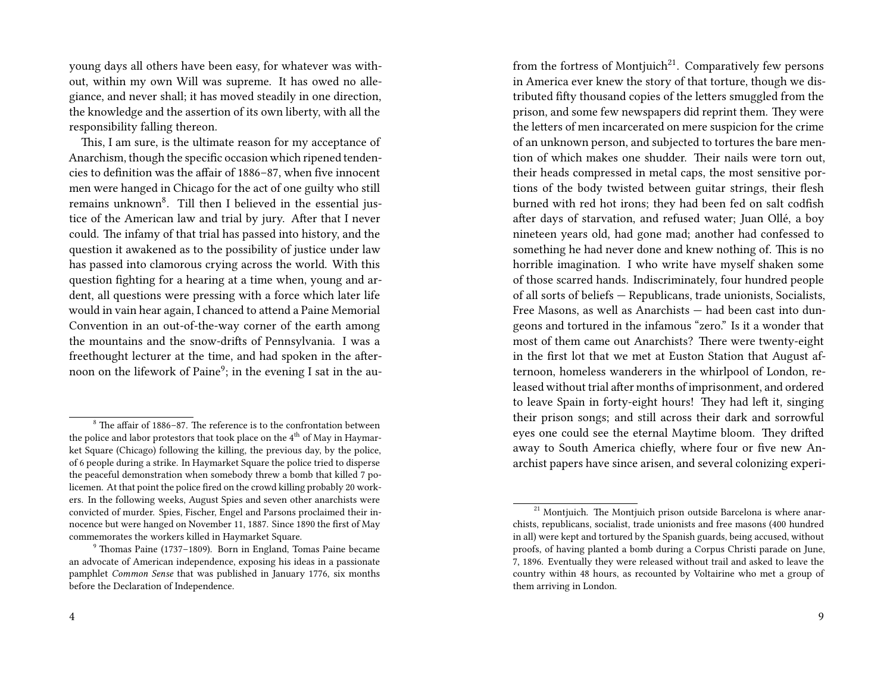young days all others have been easy, for whatever was without, within my own Will was supreme. It has owed no allegiance, and never shall; it has moved steadily in one direction, the knowledge and the assertion of its own liberty, with all the responsibility falling thereon.

This, I am sure, is the ultimate reason for my acceptance of Anarchism, though the specific occasion which ripened tendencies to definition was the affair of 1886–87, when five innocent men were hanged in Chicago for the act of one guilty who still remains unknown<sup>8</sup>. Till then I believed in the essential justice of the American law and trial by jury. After that I never could. The infamy of that trial has passed into history, and the question it awakened as to the possibility of justice under law has passed into clamorous crying across the world. With this question fighting for a hearing at a time when, young and ardent, all questions were pressing with a force which later life would in vain hear again, I chanced to attend a Paine Memorial Convention in an out-of-the-way corner of the earth among the mountains and the snow-drifts of Pennsylvania. I was a freethought lecturer at the time, and had spoken in the afternoon on the lifework of Paine $^9$ ; in the evening I sat in the aufrom the fortress of Montjuich<sup>21</sup>. Comparatively few persons in America ever knew the story of that torture, though we distributed fifty thousand copies of the letters smuggled from the prison, and some few newspapers did reprint them. They were the letters of men incarcerated on mere suspicion for the crime of an unknown person, and subjected to tortures the bare mention of which makes one shudder. Their nails were torn out, their heads compressed in metal caps, the most sensitive portions of the body twisted between guitar strings, their flesh burned with red hot irons; they had been fed on salt codfish after days of starvation, and refused water; Juan Ollé, a boy nineteen years old, had gone mad; another had confessed to something he had never done and knew nothing of. This is no horrible imagination. I who write have myself shaken some of those scarred hands. Indiscriminately, four hundred people of all sorts of beliefs — Republicans, trade unionists, Socialists, Free Masons, as well as Anarchists — had been cast into dungeons and tortured in the infamous "zero." Is it a wonder that most of them came out Anarchists? There were twenty-eight in the first lot that we met at Euston Station that August afternoon, homeless wanderers in the whirlpool of London, released without trial after months of imprisonment, and ordered to leave Spain in forty-eight hours! They had left it, singing their prison songs; and still across their dark and sorrowful eyes one could see the eternal Maytime bloom. They drifted away to South America chiefly, where four or five new Anarchist papers have since arisen, and several colonizing experi-

 $8\text{ The affair of } 1886-87$ . The reference is to the confrontation between the police and labor protestors that took place on the  $4<sup>th</sup>$  of May in Haymarket Square (Chicago) following the killing, the previous day, by the police, of 6 people during a strike. In Haymarket Square the police tried to disperse the peaceful demonstration when somebody threw a bomb that killed 7 policemen. At that point the police fired on the crowd killing probably 20 workers. In the following weeks, August Spies and seven other anarchists were convicted of murder. Spies, Fischer, Engel and Parsons proclaimed their innocence but were hanged on November 11, 1887. Since 1890 the first of May commemorates the workers killed in Haymarket Square.

<sup>9</sup> Thomas Paine (1737–1809). Born in England, Tomas Paine became an advocate of American independence, exposing his ideas in a passionate pamphlet *Common Sense* that was published in January 1776, six months before the Declaration of Independence.

 $21$  Montjuich. The Montjuich prison outside Barcelona is where anarchists, republicans, socialist, trade unionists and free masons (400 hundred in all) were kept and tortured by the Spanish guards, being accused, without proofs, of having planted a bomb during a Corpus Christi parade on June, 7, 1896. Eventually they were released without trail and asked to leave the country within 48 hours, as recounted by Voltairine who met a group of them arriving in London.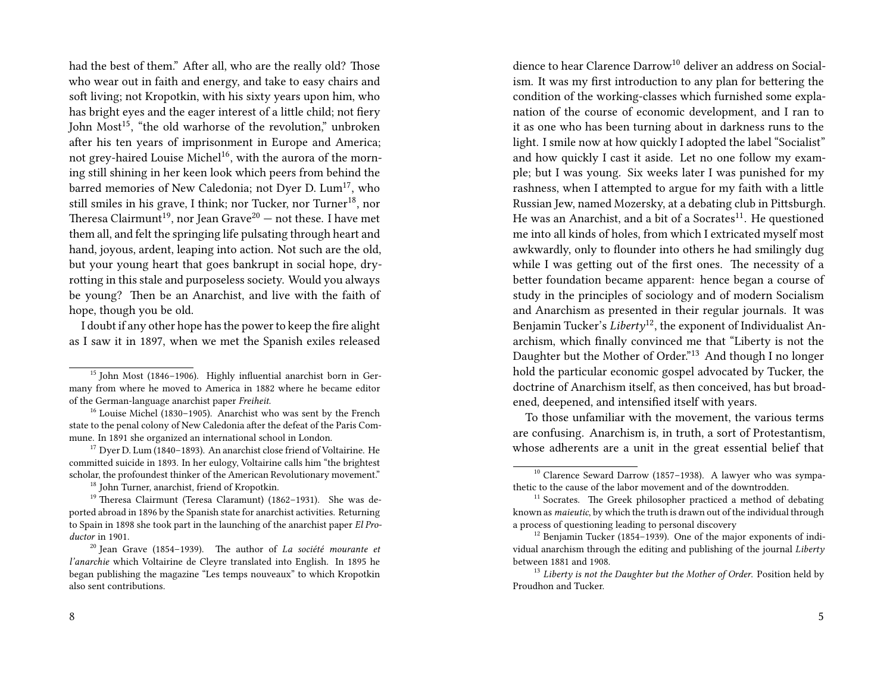had the best of them." After all, who are the really old? Those who wear out in faith and energy, and take to easy chairs and soft living; not Kropotkin, with his sixty years upon him, who has bright eyes and the eager interest of a little child; not fiery John  $Most<sup>15</sup>$ , "the old warhorse of the revolution," unbroken after his ten years of imprisonment in Europe and America; not grey-haired Louise Michel<sup>16</sup>, with the aurora of the morning still shining in her keen look which peers from behind the barred memories of New Caledonia; not Dyer D. Lum<sup>17</sup>, who still smiles in his grave, I think; nor Tucker, nor Turner<sup>18</sup>, nor Theresa Clairmunt<sup>19</sup>, nor Jean Grave<sup>20</sup> — not these. I have met them all, and felt the springing life pulsating through heart and hand, joyous, ardent, leaping into action. Not such are the old, but your young heart that goes bankrupt in social hope, dryrotting in this stale and purposeless society. Would you always be young? Then be an Anarchist, and live with the faith of hope, though you be old.

I doubt if any other hope has the power to keep the fire alight as I saw it in 1897, when we met the Spanish exiles released

<sup>17</sup> Dyer D. Lum (1840–1893). An anarchist close friend of Voltairine. He committed suicide in 1893. In her eulogy, Voltairine calls him "the brightest scholar, the profoundest thinker of the American Revolutionary movement."

<sup>18</sup> John Turner, anarchist, friend of Kropotkin.

dience to hear Clarence Darrow<sup>10</sup> deliver an address on Socialism. It was my first introduction to any plan for bettering the condition of the working-classes which furnished some explanation of the course of economic development, and I ran to it as one who has been turning about in darkness runs to the light. I smile now at how quickly I adopted the label "Socialist" and how quickly I cast it aside. Let no one follow my example; but I was young. Six weeks later I was punished for my rashness, when I attempted to argue for my faith with a little Russian Jew, named Mozersky, at a debating club in Pittsburgh. He was an Anarchist, and a bit of a Socrates $^{11}$ . He questioned me into all kinds of holes, from which I extricated myself most awkwardly, only to flounder into others he had smilingly dug while I was getting out of the first ones. The necessity of a better foundation became apparent: hence began a course of study in the principles of sociology and of modern Socialism and Anarchism as presented in their regular journals. It was Benjamin Tucker's *Liberty*12, the exponent of Individualist Anarchism, which finally convinced me that "Liberty is not the Daughter but the Mother of Order."<sup>13</sup> And though I no longer hold the particular economic gospel advocated by Tucker, the doctrine of Anarchism itself, as then conceived, has but broadened, deepened, and intensified itself with years.

To those unfamiliar with the movement, the various terms are confusing. Anarchism is, in truth, a sort of Protestantism, whose adherents are a unit in the great essential belief that

<sup>&</sup>lt;sup>15</sup> John Most (1846–1906). Highly influential anarchist born in Germany from where he moved to America in 1882 where he became editor of the German-language anarchist paper *Freiheit*.

<sup>&</sup>lt;sup>16</sup> Louise Michel (1830–1905). Anarchist who was sent by the French state to the penal colony of New Caledonia after the defeat of the Paris Commune. In 1891 she organized an international school in London.

<sup>19</sup> Theresa Clairmunt (Teresa Claramunt) (1862–1931). She was deported abroad in 1896 by the Spanish state for anarchist activities. Returning to Spain in 1898 she took part in the launching of the anarchist paper *El Productor* in 1901.

<sup>20</sup> Jean Grave (1854–1939). The author of *La société mourante et l'anarchie* which Voltairine de Cleyre translated into English. In 1895 he began publishing the magazine "Les temps nouveaux" to which Kropotkin also sent contributions.

 $10$  Clarence Seward Darrow (1857–1938). A lawyer who was sympathetic to the cause of the labor movement and of the downtrodden.

 $11$  Socrates. The Greek philosopher practiced a method of debating known as *maieutic*, by which the truth is drawn out of the individual through a process of questioning leading to personal discovery

 $12$  Benjamin Tucker (1854–1939). One of the major exponents of individual anarchism through the editing and publishing of the journal *Liberty* between 1881 and 1908.

<sup>13</sup> *Liberty is not the Daughter but the Mother of Order*. Position held by Proudhon and Tucker.